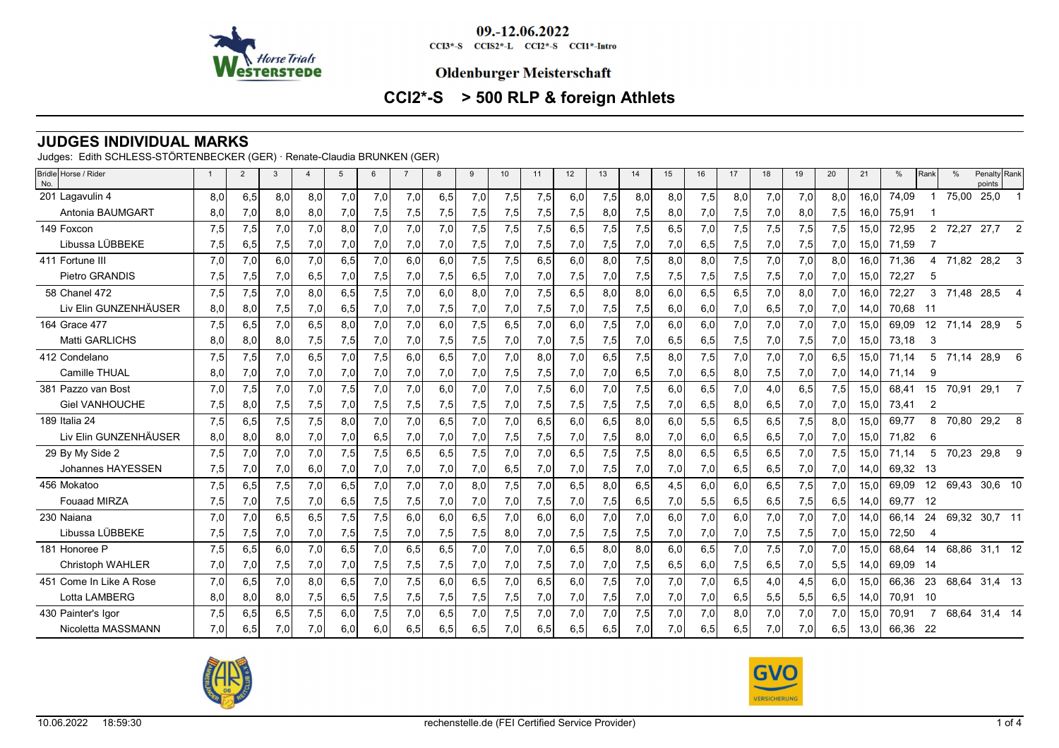

CCI3\*-S CCIS2\*-L CCI2\*-S CCI1\*-Intro

#### **Oldenburger Meisterschaft**

# **CCI2\*-S > 500 RLP & foreign Athlets**

## **JUDGES INDIVIDUAL MARKS**

Judges: Edith SCHLESS-STÖRTENBECKER (GER) · Renate-Claudia BRUNKEN (GER)

| Bridle Horse / Rider<br>No. |     | $\overline{2}$ | 3   |     | $\overline{5}$ | 6   | $\overline{7}$ | 8   | 9   | 10   | 11  | 12  | 13  | 14  | 15  | 16   | 17  | 18  | 19  | 20  | 21   | %     | Rank           | $\frac{0}{c}$ | Penalty Rank<br>points |                |
|-----------------------------|-----|----------------|-----|-----|----------------|-----|----------------|-----|-----|------|-----|-----|-----|-----|-----|------|-----|-----|-----|-----|------|-------|----------------|---------------|------------------------|----------------|
| 201 Lagavulin 4             | 8,0 | 6,5            | 8,0 | 8,0 | 7,0            | 7,0 | 7,0            | 6,5 | 7,0 | 7,5  | 7,5 | 6,0 | 7,5 | 8,0 | 8,0 | 7,5  | 8,0 | 7,0 | 7,0 | 8.0 | 16.0 | 74,09 |                | 75,00         | 25,0                   |                |
| Antonia BAUMGART            | 8,0 | 7,0            | 8,0 | 8,0 | 7,0            | 7,5 | 7,5            | 7,5 | 7,5 | 7,5  | 7,5 | 7,5 | 8,0 | 7,5 | 8,0 | 7,0  | 7,5 | 7,0 | 8,0 | 7,5 | 16.0 | 75,91 |                |               |                        |                |
| 149 Foxcon                  | 7,5 | 7,5            | 7,0 | 7,0 | 8,0            | 7,0 | 7,0            | 7,0 | 7,5 | 7,5  | 7,5 | 6,5 | 7,5 | 7,5 | 6,5 | 7,0  | 7,5 | 7,5 | 7,5 | 7,5 | 15.0 | 72,95 | $\overline{2}$ | 72,27         | 27,7                   | $\overline{2}$ |
| Libussa LÜBBEKE             | 7,5 | 6,5            | 7,5 | 7,0 | 7,0            | 7,0 | 7,0            | 7,0 | 7,5 | 7,01 | 7,5 | 7,0 | 7,5 | 7,0 | 7,0 | 6,5  | 7,5 | 7,0 | 7,5 | 7,0 | 15,0 | 71,59 |                |               |                        |                |
| 411 Fortune III             | 7,0 | 7,0            | 6,0 | 7,0 | 6,5            | 7.0 | 6.0            | 6.0 | 7,5 | 7,5  | 6.5 | 6,0 | 8.0 | 7,5 | 8,0 | 8,0  | 7,5 | 7,0 | 7,0 | 8.0 | 16.0 | 71.36 | 4              | 71,82         | 28,2                   | 3              |
| Pietro GRANDIS              | 7,5 | 7,5            | 7,0 | 6,5 | 7,0            | 7,5 | 7,0            | 7,5 | 6,5 | 7,0  | 7,0 | 7,5 | 7,0 | 7,5 | 7,5 | 7,5  | 7,5 | 7,5 | 7,0 | 7,0 | 15,0 | 72,27 | 5              |               |                        |                |
| 58 Chanel 472               | 7,5 | 7,5            | 7,0 | 8,0 | 6,5            | 7,5 | 7,0            | 6.0 | 8,0 | 7,0  | 7,5 | 6,5 | 8,0 | 8,0 | 6,0 | 6, 5 | 6,5 | 7,0 | 8,0 | 7,0 | 16,0 | 72,27 | 3              | 71,48         | 28,5                   | $\overline{4}$ |
| Liv Elin GUNZENHÄUSER       | 8,0 | 8,0            | 7,5 | 7,0 | 6,5            | 7,0 | 7,0            | 7,5 | 7,0 | 7,0  | 7,5 | 7,0 | 7,5 | 7,5 | 6,0 | 6,0  | 7,0 | 6,5 | 7,0 | 7,0 | 14,0 | 70,68 | -11            |               |                        |                |
| 164 Grace 477               | 7,5 | 6,5            | 7,0 | 6,5 | 8,0            | 7,0 | 7,0            | 6.0 | 7,5 | 6.5  | 7,0 | 6.0 | 7,5 | 7,0 | 6,0 | 6,0  | 7,0 | 7,0 | 7,0 | 7,0 | 15,0 | 69,09 | 12             | 71,14         | 28,9                   | 5              |
| <b>Matti GARLICHS</b>       | 8,0 | 8,0            | 8,0 | 7,5 | 7,5            | 7,0 | 7,0            | 7,5 | 7,5 | 7,0  | 7,0 | 7,5 | 7,5 | 7,0 | 6,5 | 6,5  | 7,5 | 7,0 | 7,5 | 7,0 | 15,0 | 73,18 | 3              |               |                        |                |
| 412 Condelano               | 7,5 | 7,5            | 7,0 | 6,5 | 7,0            | 7,5 | 6,0            | 6.5 | 7,0 | 7.0  | 8.0 | 7,0 | 6,5 | 7,5 | 8,0 | 7,5  | 7,0 | 7,0 | 7,0 | 6,5 | 15.0 | 71.14 | 5              | 71,14         | 28,9                   | 6              |
| Camille THUAL               | 8,0 | 7,0            | 7,0 | 7,0 | 7,0            | 7,0 | 7,0            | 7,0 | 7,0 | 7,5  | 7,5 | 7,0 | 7,0 | 6,5 | 7,0 | 6,5  | 8,0 | 7,5 | 7,0 | 7,0 | 14,0 | 71.14 | 9              |               |                        |                |
| 381 Pazzo van Bost          | 7.0 | 7,5            | 7,0 | 7,0 | 7,5            | 7.0 | 7,0            | 6.0 | 7,0 | 7.0  | 7,5 | 6.0 | 7,0 | 7,5 | 6,0 | 6,5  | 7,0 | 4,0 | 6,5 | 7,5 | 15,0 | 68,41 | 15             | 70,91         | 29,1                   |                |
| <b>Giel VANHOUCHE</b>       | 7,5 | 8,0            | 7,5 | 7,5 | 7,0            | 7,5 | 7,5            | 7,5 | 7,5 | 7,0  | 7,5 | 7,5 | 7,5 | 7,5 | 7,0 | 6,5  | 8,0 | 6,5 | 7,0 | 7,0 | 15.0 | 73.41 | 2              |               |                        |                |
| 189 Italia 24               | 7,5 | 6,5            | 7,5 | 7,5 | 8,0            | 7,0 | 7,0            | 6,5 | 7,0 | 7,0  | 6,5 | 6,0 | 6,5 | 8,0 | 6,0 | 5,5  | 6,5 | 6,5 | 7,5 | 8.0 | 15,0 | 69,77 | 8              | 70,80         | 29,2                   | 8              |
| Liv Elin GUNZENHÄUSER       | 8,0 | 8,0            | 8,0 | 7,0 | 7,0            | 6,5 | 7,0            | 7,0 | 7,0 | 7,5  | 7,5 | 7,0 | 7,5 | 8,0 | 7,0 | 6,0  | 6,5 | 6,5 | 7,0 | 7,0 | 15,0 | 71.82 | 6              |               |                        |                |
| 29 By My Side 2             | 7,5 | 7,0            | 7,0 | 7,0 | 7,5            | 7,5 | 6,5            | 6,5 | 7,5 | 7.0  | 7.0 | 6,5 | 7,5 | 7,5 | 8,0 | 6,5  | 6,5 | 6,5 | 7,0 | 7,5 | 15.0 | 71.14 | 5              | 70,23         | 29,8                   | 9              |
| Johannes HAYESSEN           | 7,5 | 7,0            | 7,0 | 6,0 | 7,0            | 7,0 | 7,0            | 7,0 | 7,0 | 6,5  | 7,0 | 7,0 | 7,5 | 7,0 | 7,0 | 7,0  | 6,5 | 6,5 | 7,0 | 7,0 | 14,0 | 69,32 | -13            |               |                        |                |
| 456 Mokatoo                 | 7,5 | 6,5            | 7,5 | 7,0 | 6,5            | 7,0 | 7,0            | 7,0 | 8,0 | 7,5  | 7,0 | 6,5 | 8,0 | 6,5 | 4,5 | 6,0  | 6,0 | 6,5 | 7,5 | 7,0 | 15,0 | 69,09 | 12             | 69,43         | 30,6 10                |                |
| <b>Fouaad MIRZA</b>         | 7,5 | 7,0            | 7,5 | 7,0 | 6,5            | 7,5 | 7,5            | 7,0 | 7,0 | 7,0  | 7,5 | 7,0 | 7,5 | 6,5 | 7,0 | 5,5  | 6,5 | 6,5 | 7,5 | 6,5 | 14,0 | 69.77 | 12             |               |                        |                |
| 230 Najana                  | 7,0 | 7,0            | 6,5 | 6,5 | 7,5            | 7,5 | 6,0            | 6,0 | 6,5 | 7,0  | 6.0 | 6,0 | 7,0 | 7,0 | 6,0 | 7,0  | 6.0 | 7,0 | 7,0 | 7,0 | 14,0 | 66,14 | 24             |               | 69,32 30,7 11          |                |
| Libussa LÜBBEKE             | 7,5 | 7,5            | 7,0 | 7,0 | 7,5            | 7,5 | 7,0            | 7,5 | 7,5 | 8,0  | 7,0 | 7,5 | 7,5 | 7,5 | 7,0 | 7,0  | 7,0 | 7,5 | 7,5 | 7,0 | 15,0 | 72,50 | 4              |               |                        |                |
| 181 Honoree P               | 7,5 | 6,5            | 6,0 | 7,0 | 6,5            | 7,0 | 6,5            | 6,5 | 7,0 | 7,0  | 7,0 | 6,5 | 8,0 | 8,0 | 6,0 | 6,5  | 7,0 | 7,5 | 7,0 | 7,0 | 15,0 | 68,64 | 14             | 68,86         | $31,1$ 12              |                |
| <b>Christoph WAHLER</b>     | 7,0 | 7,0            | 7,5 | 7,0 | 7,0            | 7,5 | 7,5            | 7,5 | 7,0 | 7,0  | 7,5 | 7,0 | 7,0 | 7,5 | 6,5 | 6,0  | 7,5 | 6,5 | 7,0 | 5,5 | 14,0 | 69.09 | 14             |               |                        |                |
| 451 Come In Like A Rose     | 7,0 | 6,5            | 7,0 | 8,0 | 6,5            | 7.0 | 7,5            | 6,0 | 6,5 | 7,0  | 6,5 | 6,0 | 7,5 | 7,0 | 7,0 | 7,0  | 6,5 | 4,0 | 4,5 | 6,0 | 15,0 | 66,36 | 23             | 68,64         | 31,4 13                |                |
| Lotta LAMBERG               | 8.0 | 8,0            | 8,0 | 7,5 | 6,5            | 7,5 | 7,5            | 7,5 | 7,5 | 7,5  | 7,0 | 7,0 | 7,5 | 7,0 | 7,0 | 7,0  | 6,5 | 5,5 | 5,5 | 6,5 | 14,0 | 70,91 | -10            |               |                        |                |
| 430 Painter's Igor          | 7,5 | 6,5            | 6,5 | 7,5 | 6,0            | 7,5 | 7,0            | 6,5 | 7,0 | 7,5  | 7,0 | 7,0 | 7,0 | 7,5 | 7,0 | 7,0  | 8,0 | 7,0 | 7,0 | 7,0 | 15,0 | 70.91 |                | 68.64         | 31,4 14                |                |
| Nicoletta MASSMANN          | 7.0 | 6,5            | 7,0 | 7,0 | 6,0            | 6,0 | 6,5            | 6,5 | 6,5 | 7,0  | 6,5 | 6,5 | 6,5 | 7,0 | 7,0 | 6,5  | 6,5 | 7,0 | 7,0 | 6,5 | 13,0 | 66,36 | - 22           |               |                        |                |



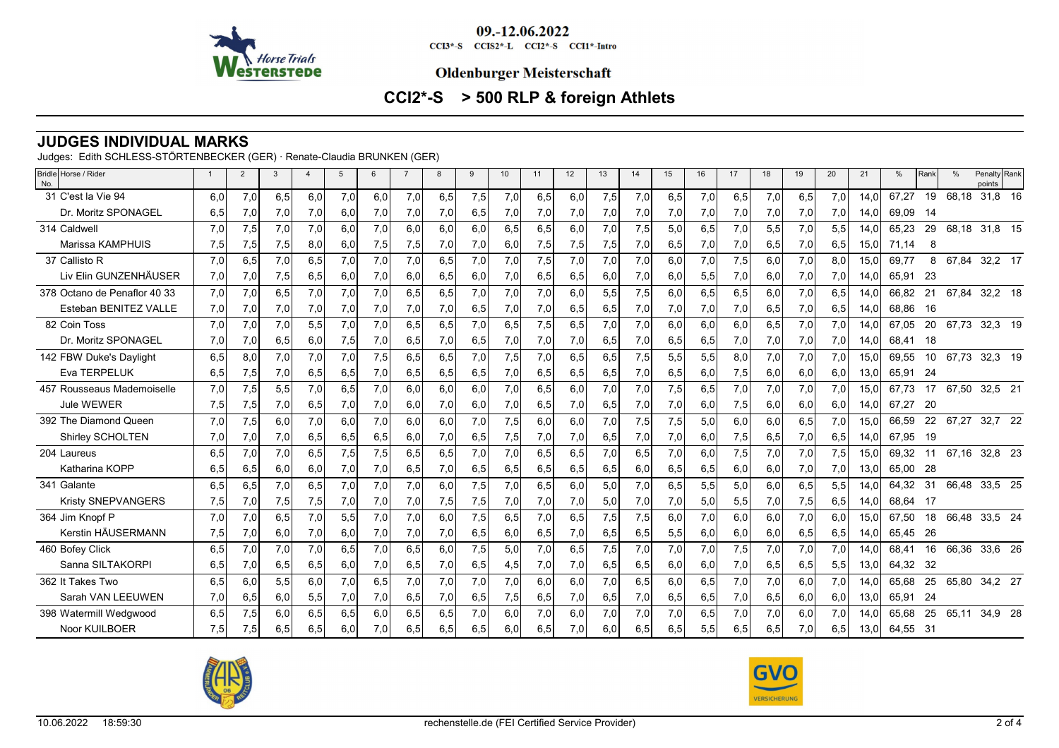

CCI3\*-S CCIS2\*-L CCI2\*-S CCI1\*-Intro

#### **Oldenburger Meisterschaft**

# **CCI2\*-S > 500 RLP & foreign Athlets**

### **JUDGES INDIVIDUAL MARKS**

Judges: Edith SCHLESS-STÖRTENBECKER (GER) · Renate-Claudia BRUNKEN (GER)

| Bridle Horse / Rider<br>No.  |     | $\overline{2}$ | 3   |     | $\overline{5}$ | 6   |     | 8   | 9   | 10               | 11  | 12  | 13  | 14  | 15  | 16  | 17  | 18  | 19  | 20  | 21   | %        | Rank |       | Penalty Rank<br>points |         |
|------------------------------|-----|----------------|-----|-----|----------------|-----|-----|-----|-----|------------------|-----|-----|-----|-----|-----|-----|-----|-----|-----|-----|------|----------|------|-------|------------------------|---------|
| 31 C'est la Vie 94           | 6.0 | 7,0            | 6,5 | 6,0 | 7.0            | 6,0 | 7,0 | 6,5 | 7,5 | 7,0              | 6.5 | 6.0 | 7,5 | 7,0 | 6,5 | 7,0 | 6,5 | 7,0 | 6,5 | 7,0 | 14.0 | 67.27    | 19   | 68,18 |                        | 31,8 16 |
| Dr. Moritz SPONAGEL          | 6,5 | 7,0            | 7,0 | 7,0 | 6,0            | 7,0 | 7,0 | 7,0 | 6,5 | 7,0              | 7,0 | 7,0 | 7,0 | 7,0 | 7,0 | 7,0 | 7,0 | 7,0 | 7,0 | 7,0 | 14,0 | 69,09    | - 14 |       |                        |         |
| 314 Caldwell                 | 7,0 | 7,5            | 7,0 | 7,0 | 6.0            | 7,0 | 6,0 | 6,0 | 6,0 | 6.5              | 6,5 | 6.0 | 7,0 | 7,5 | 5,0 | 6,5 | 7,0 | 5,5 | 7,0 | 5,5 | 14.0 | 65.23    | 29   |       | 68,18 31,8 15          |         |
| Marissa KAMPHUIS             | 7,5 | 7,5            | 7,5 | 8,0 | 6,0            | 7,5 | 7,5 | 7,0 | 7,0 | 6,0              | 7,5 | 7,5 | 7,5 | 7,0 | 6,5 | 7,0 | 7,0 | 6,5 | 7,0 | 6,5 | 15,0 | 71,14    | 8    |       |                        |         |
| 37 Callisto R                | 7,0 | 6,5            | 7,0 | 6,5 | 7,0            | 7,0 | 7,0 | 6.5 | 7,0 | 7.0              | 7,5 | 7,0 | 7,0 | 7,0 | 6,0 | 7,0 | 7,5 | 6.0 | 7,0 | 8,0 | 15.0 | 69.77    | 8    | 67,84 | 32,2 17                |         |
| Liv Elin GUNZENHÄUSER        | 7,0 | 7,0            | 7,5 | 6,5 | 6,0            | 7,0 | 6,0 | 6,5 | 6,0 | 7,0              | 6,5 | 6,5 | 6,0 | 7,0 | 6,0 | 5,5 | 7,0 | 6,0 | 7,0 | 7,0 | 14,0 | 65,91    | -23  |       |                        |         |
| 378 Octano de Penaflor 40 33 | 7,0 | 7,0            | 6,5 | 7,0 | 7.0            | 7.0 | 6,5 | 6,5 | 7,0 | 7.0              | 7.0 | 6.0 | 5,5 | 7,5 | 6,0 | 6,5 | 6,5 | 6,0 | 7,0 | 6.5 | 14.0 | 66.82    | 21   | 67,84 | 32,2 18                |         |
| Esteban BENITEZ VALLE        | 7,0 | 7,0            | 7,0 | 7,0 | 7,0            | 7,0 | 7,0 | 7,0 | 6,5 | 7,0              | 7,0 | 6,5 | 6,5 | 7,0 | 7,0 | 7,0 | 7,0 | 6,5 | 7,0 | 6,5 | 14,0 | 68,86    | - 16 |       |                        |         |
| 82 Coin Toss                 | 7.0 | 7.0            | 7,0 | 5,5 | 7.0            | 7.0 | 6.5 | 6.5 | 7.0 | 6.5              | 7.5 | 6.5 | 7,0 | 7,0 | 6,0 | 6,0 | 6,0 | 6,5 | 7,0 | 7,0 | 14.0 | 67.05    | 20   |       | 67,73 32,3 19          |         |
| Dr. Moritz SPONAGEL          | 7,0 | 7,0            | 6,5 | 6,0 | 7,5            | 7,0 | 6,5 | 7,0 | 6,5 | 7,0              | 7,0 | 7,0 | 6,5 | 7,0 | 6,5 | 6,5 | 7,0 | 7,0 | 7,0 | 7,0 | 14,0 | 68,41    | - 18 |       |                        |         |
| 142 FBW Duke's Daylight      | 6,5 | 8,0            | 7,0 | 7,0 | 7,0            | 7,5 | 6,5 | 6,5 | 7,0 | 7,5              | 7,0 | 6,5 | 6,5 | 7,5 | 5,5 | 5,5 | 8,0 | 7,0 | 7,0 | 7,0 | 15.0 | 69,55    | 10   |       | 67,73 32,3 19          |         |
| Eva TERPELUK                 | 6,5 | 7,5            | 7,0 | 6,5 | 6,5            | 7,0 | 6,5 | 6,5 | 6,5 | 7,0              | 6,5 | 6,5 | 6,5 | 7,0 | 6,5 | 6,0 | 7,5 | 6,0 | 6,0 | 6,0 | 13,0 | 65,91    | - 24 |       |                        |         |
| 457 Rousseaus Mademoiselle   | 7,0 | 7,5            | 5,5 | 7,0 | 6,5            | 7,0 | 6,0 | 6.0 | 6,0 | 7.0              | 6,5 | 6.0 | 7,0 | 7,0 | 7,5 | 6,5 | 7,0 | 7,0 | 7,0 | 7,0 | 15.0 | 67.73    | 17   |       | 67,50 32,5 21          |         |
| Jule WEWER                   | 7,5 | 7,5            | 7,0 | 6,5 | 7,0            | 7,0 | 6,0 | 7,0 | 6,0 | 7,0              | 6,5 | 7,0 | 6,5 | 7,0 | 7,0 | 6,0 | 7,5 | 6,0 | 6,0 | 6,0 | 14,0 | 67.27    | - 20 |       |                        |         |
| 392 The Diamond Queen        | 7,0 | 7,5            | 6,0 | 7,0 | 6,0            | 7,0 | 6,0 | 6,0 | 7,0 | 7,5              | 6.0 | 6,0 | 7,0 | 7,5 | 7,5 | 5,0 | 6,0 | 6,0 | 6,5 | 7,0 | 15.0 | 66,59    | 22   | 67,27 | 32,7 22                |         |
| Shirley SCHOLTEN             | 7,0 | 7,0            | 7,0 | 6,5 | 6,5            | 6,5 | 6,0 | 7,0 | 6,5 | 7,5              | 7,0 | 7,0 | 6,5 | 7,0 | 7,0 | 6,0 | 7,5 | 6,5 | 7,0 | 6,5 | 14,0 | 67,95    | - 19 |       |                        |         |
| 204 Laureus                  | 6.5 | 7,0            | 7,0 | 6.5 | 7,5            | 7,5 | 6,5 | 6,5 | 7,0 | 7.0 <sub>l</sub> | 6,5 | 6,5 | 7,0 | 6,5 | 7,0 | 6,0 | 7,5 | 7,0 | 7,0 | 7,5 | 15.0 | 69.32    | 11   |       | 67,16 32,8 23          |         |
| Katharina KOPP               | 6,5 | 6,5            | 6,0 | 6,0 | 7,0            | 7,0 | 6,5 | 7,0 | 6,5 | 6,5              | 6,5 | 6,5 | 6,5 | 6,0 | 6,5 | 6,5 | 6,0 | 6,0 | 7,0 | 7,0 | 13,0 | 65,00    | - 28 |       |                        |         |
| 341 Galante                  | 6,5 | 6,5            | 7,0 | 6,5 | 7,0            | 7,0 | 7,0 | 6,0 | 7,5 | 7,0              | 6,5 | 6,0 | 5,0 | 7,0 | 6,5 | 5,5 | 5,0 | 6,0 | 6,5 | 5,5 | 14,0 | 64.32    | -31  |       | 66,48 33,5 25          |         |
| Kristy SNEPVANGERS           | 7,5 | 7,0            | 7,5 | 7,5 | 7,0            | 7,0 | 7,0 | 7,5 | 7,5 | 7,0              | 7,0 | 7,0 | 5,0 | 7,0 | 7,0 | 5,0 | 5,5 | 7,0 | 7,5 | 6,5 | 14,0 | 68.64    | - 17 |       |                        |         |
| 364 Jim Knopf P              | 7,0 | 7,0            | 6,5 | 7.0 | 5,5            | 7,0 | 7,0 | 6.0 | 7,5 | 6.5              | 7.0 | 6,5 | 7,5 | 7,5 | 6,0 | 7,0 | 6.0 | 6,0 | 7,0 | 6.0 | 15.0 | 67,50    | 18   |       | 66,48 33,5 24          |         |
| Kerstin HÄUSERMANN           | 7,5 | 7,0            | 6,0 | 7,0 | 6,0            | 7,0 | 7,0 | 7,0 | 6,5 | 6,0              | 6,5 | 7,0 | 6,5 | 6,5 | 5,5 | 6,0 | 6,0 | 6,0 | 6,5 | 6,5 | 14.0 | 65.45    | -26  |       |                        |         |
| 460 Bofey Click              | 6,5 | 7,0            | 7,0 | 7.0 | 6,5            | 7.0 | 6.5 | 6.0 | 7,5 | 5.0              | 7.0 | 6,5 | 7,5 | 7,0 | 7,0 | 7,0 | 7,5 | 7,0 | 7,0 | 7,0 | 14.0 | 68,41    | 16   | 66,36 | 33,6 26                |         |
| Sanna SILTAKORPI             | 6,5 | 7,0            | 6,5 | 6,5 | 6,0            | 7,0 | 6,5 | 7,0 | 6,5 | 4,5              | 7,0 | 7,0 | 6,5 | 6,5 | 6,0 | 6,0 | 7,0 | 6,5 | 6,5 | 5,5 | 13,0 | 64,32    | -32  |       |                        |         |
| 362 It Takes Two             | 6.5 | 6,0            | 5,5 | 6.0 | 7,0            | 6,5 | 7,0 | 7,0 | 7,0 | 7.0              | 6.0 | 6.0 | 7.0 | 6.5 | 6,0 | 6,5 | 7,0 | 7,0 | 6,0 | 7,0 | 14.0 | 65,68    | 25   |       | 65,80 34,2 27          |         |
| Sarah VAN LEEUWEN            | 7,0 | 6,5            | 6,0 | 5,5 | 7,0            | 7,0 | 6,5 | 7,0 | 6,5 | 7,5              | 6,5 | 7,0 | 6,5 | 7,0 | 6,5 | 6,5 | 7,0 | 6,5 | 6,0 | 6,0 | 13,0 | 65,91    | 24   |       |                        |         |
| 398 Watermill Wedgwood       | 6,5 | 7,5            | 6,0 | 6,5 | 6,5            | 6,0 | 6,5 | 6,5 | 7,0 | 6.0              | 7,0 | 6,0 | 7,0 | 7,0 | 7,0 | 6,5 | 7,0 | 7,0 | 6,0 | 7,0 | 14.0 | 65.68    | 25   |       | 65,11 34,9 28          |         |
| Noor KUILBOER                | 7,5 | 7,5            | 6,5 | 6,5 | 6.0            | 7.0 | 6,5 | 6,5 | 6,5 | 6,0              | 6,5 | 7.0 | 6.0 | 6,5 | 6,5 | 5,5 | 6,5 | 6,5 | 7,0 | 6,5 | 13,0 | 64,55 31 |      |       |                        |         |



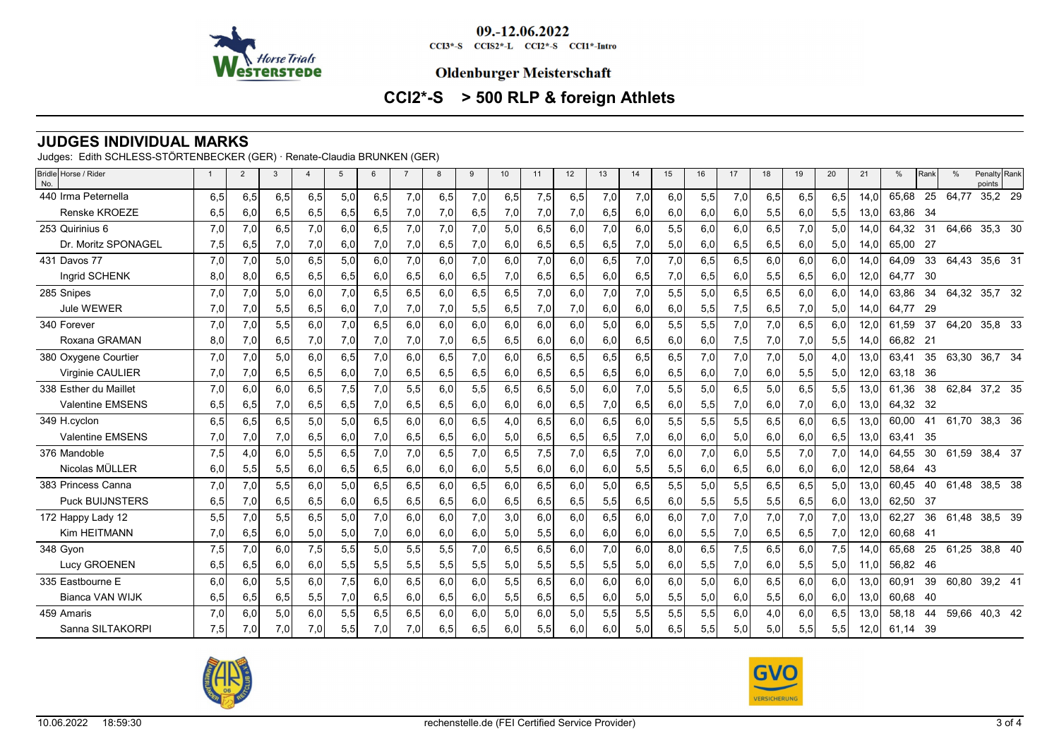

CCI3\*-S CCIS2\*-L CCI2\*-S CCI1\*-Intro

#### **Oldenburger Meisterschaft**

# **CCI2\*-S > 500 RLP & foreign Athlets**

## **JUDGES INDIVIDUAL MARKS**

Judges: Edith SCHLESS-STÖRTENBECKER (GER) · Renate-Claudia BRUNKEN (GER)

| Bridle Horse / Rider<br>No. |     | $\overline{2}$ | 3   | $\overline{4}$ | $\overline{5}$ | 6   | $\overline{7}$ | 8   | 9   | 10   | 11  | 12  | 13  | 14  | 15  | 16  | 17  | 18  | 19  | 20  | 21   | %        | Rank | $\frac{0}{c}$ | Penalty Rank<br>points |  |
|-----------------------------|-----|----------------|-----|----------------|----------------|-----|----------------|-----|-----|------|-----|-----|-----|-----|-----|-----|-----|-----|-----|-----|------|----------|------|---------------|------------------------|--|
| 440 Irma Peternella         | 6,5 | 6,5            | 6,5 | 6,5            | 5,0            | 6,5 | 7,0            | 6,5 | 7,0 | 6,5  | 7,5 | 6,5 | 7,0 | 7,0 | 6,0 | 5,5 | 7,0 | 6,5 | 6,5 | 6,5 | 14.0 | 65.68    | 25   | 64,77         | 35,2 29                |  |
| <b>Renske KROEZE</b>        | 6,5 | 6,0            | 6,5 | 6,5            | 6,5            | 6,5 | 7,0            | 7,0 | 6,5 | 7,01 | 7,0 | 7,0 | 6,5 | 6,0 | 6,0 | 6,0 | 6,0 | 5,5 | 6,0 | 5,5 | 13.0 | 63.86    | - 34 |               |                        |  |
| 253 Quirinius 6             | 7,0 | 7.0            | 6,5 | 7.0            | 6.0            | 6,5 | 7,0            | 7,0 | 7,0 | 5.0  | 6.5 | 6.0 | 7,0 | 6,0 | 5,5 | 6,0 | 6,0 | 6,5 | 7,0 | 5.0 | 14.0 | 64,32    | 31   | 64,66         | 35,3 30                |  |
| Dr. Moritz SPONAGEL         | 7,5 | 6,5            | 7,0 | 7,0            | 6,0            | 7,0 | 7,0            | 6,5 | 7,0 | 6,0  | 6,5 | 6,5 | 6,5 | 7,0 | 5,0 | 6,0 | 6,5 | 6,5 | 6,0 | 5,0 | 14,0 | 65,00 27 |      |               |                        |  |
| 431 Davos 77                | 7,0 | 7,0            | 5,0 | 6,5            | 5,0            | 6.0 | 7,0            | 6.0 | 7,0 | 6.0  | 7.0 | 6.0 | 6,5 | 7,0 | 7,0 | 6,5 | 6,5 | 6,0 | 6,0 | 6.0 | 14.0 | 64.09    | 33   | 64,43         | 35,6 31                |  |
| Ingrid SCHENK               | 8,0 | 8,0            | 6,5 | 6,5            | 6,5            | 6,0 | 6,5            | 6,0 | 6,5 | 7,0  | 6,5 | 6,5 | 6,0 | 6,5 | 7,0 | 6,5 | 6,0 | 5,5 | 6,5 | 6,0 | 12,0 | 64.77    | 30   |               |                        |  |
| 285 Snipes                  | 7,0 | 7,0            | 5,0 | 6,0            | 7,0            | 6,5 | 6,5            | 6,0 | 6,5 | 6,5  | 7,0 | 6,0 | 7,0 | 7,0 | 5,5 | 5,0 | 6,5 | 6,5 | 6,0 | 6.0 | 14.0 | 63,86    | 34   | 64,32         | 35,7 32                |  |
| <b>Jule WEWER</b>           | 7,0 | 7,0            | 5,5 | 6,5            | 6,0            | 7,0 | 7,0            | 7,0 | 5,5 | 6,5  | 7,0 | 7,0 | 6,0 | 6,0 | 6,0 | 5,5 | 7,5 | 6,5 | 7,0 | 5,0 | 14,0 | 64.77    | - 29 |               |                        |  |
| 340 Forever                 | 7,0 | 7,0            | 5,5 | 6,0            | 7,0            | 6,5 | 6,0            | 6,0 | 6,0 | 6.0  | 6,0 | 6,0 | 5,0 | 6,0 | 5,5 | 5,5 | 7,0 | 7,0 | 6,5 | 6.0 | 12,0 | 61,59    | 37   | 64,20         | 35,8 33                |  |
| Roxana GRAMAN               | 8,0 | 7,0            | 6,5 | 7,0            | 7,0            | 7,0 | 7,0            | 7,0 | 6,5 | 6,5  | 6,0 | 6,0 | 6,0 | 6,5 | 6,0 | 6,0 | 7,5 | 7,0 | 7,0 | 5,5 | 14,0 | 66.82    | 21   |               |                        |  |
| 380 Oxygene Courtier        | 7,0 | 7,0            | 5,0 | 6,0            | 6,5            | 7,0 | 6,0            | 6,5 | 7,0 | 6.0  | 6,5 | 6,5 | 6,5 | 6,5 | 6,5 | 7,0 | 7,0 | 7,0 | 5,0 | 4,0 | 13,0 | 63,41    | 35   | 63,30         | 36,7 34                |  |
| Virginie CAULIER            | 7,0 | 7,0            | 6,5 | 6,5            | 6,0            | 7,0 | 6,5            | 6,5 | 6,5 | 6,0  | 6,5 | 6,5 | 6,5 | 6,0 | 6,5 | 6,0 | 7,0 | 6,0 | 5,5 | 5,0 | 12,0 | 63,18    | - 36 |               |                        |  |
| 338 Esther du Maillet       | 7,0 | 6,0            | 6,0 | 6,5            | 7,5            | 7,0 | 5,5            | 6,0 | 5,5 | 6,5  | 6,5 | 5,0 | 6,0 | 7,0 | 5,5 | 5,0 | 6,5 | 5,0 | 6,5 | 5,5 | 13,0 | 61.36    | 38   |               | 62,84 37,2 35          |  |
| <b>Valentine EMSENS</b>     | 6,5 | 6,5            | 7,0 | 6,5            | 6,5            | 7,0 | 6,5            | 6,5 | 6,0 | 6,0  | 6,0 | 6,5 | 7,0 | 6,5 | 6,0 | 5,5 | 7,0 | 6,0 | 7,0 | 6,0 | 13,0 | 64,32    | - 32 |               |                        |  |
| 349 H.cvclon                | 6.5 | 6,5            | 6,5 | 5,0            | 5,0            | 6,5 | 6,0            | 6,0 | 6,5 | 4,0  | 6,5 | 6,0 | 6,5 | 6,0 | 5,5 | 5,5 | 5,5 | 6,5 | 6,0 | 6,5 | 13.0 | 60.00    | 41   | 61.70         | 38,3 36                |  |
| <b>Valentine EMSENS</b>     | 7,0 | 7,0            | 7,0 | 6,5            | 6,0            | 7,0 | 6,5            | 6,5 | 6,0 | 5,0  | 6,5 | 6,5 | 6,5 | 7,0 | 6,0 | 6,0 | 5,0 | 6,0 | 6,0 | 6,5 | 13,0 | 63,41    | 35   |               |                        |  |
| 376 Mandoble                | 7,5 | 4,0            | 6,0 | 5,5            | 6,5            | 7,0 | 7,0            | 6,5 | 7,0 | 6,5  | 7,5 | 7,0 | 6,5 | 7,0 | 6,0 | 7,0 | 6,0 | 5,5 | 7,0 | 7,0 | 14.0 | 64.55    | 30   |               | 61,59 38,4 37          |  |
| Nicolas MÜLLER              | 6,0 | 5,5            | 5,5 | 6,0            | 6,5            | 6,5 | 6,0            | 6,0 | 6,0 | 5,5  | 6,0 | 6,0 | 6,0 | 5,5 | 5,5 | 6,0 | 6,5 | 6,0 | 6,0 | 6,0 | 12,0 | 58,64    | -43  |               |                        |  |
| 383 Princess Canna          | 7,0 | 7,0            | 5,5 | 6,0            | 5,0            | 6,5 | 6,5            | 6,0 | 6,5 | 6,0  | 6,5 | 6,0 | 5,0 | 6,5 | 5,5 | 5,0 | 5,5 | 6,5 | 6,5 | 5,0 | 13,0 | 60,45    | 40   | 61,48         | 38,5 38                |  |
| <b>Puck BUIJNSTERS</b>      | 6,5 | 7,0            | 6,5 | 6,5            | 6,0            | 6,5 | 6,5            | 6,5 | 6,0 | 6,5  | 6,5 | 6,5 | 5,5 | 6,5 | 6,0 | 5,5 | 5,5 | 5,5 | 6,5 | 6,0 | 13,0 | 62,50    | -37  |               |                        |  |
| 172 Happy Lady 12           | 5,5 | 7,0            | 5,5 | 6,5            | 5,0            | 7,0 | 6,0            | 6.0 | 7,0 | 3.0  | 6,0 | 6.0 | 6,5 | 6,0 | 6,0 | 7,0 | 7,0 | 7,0 | 7,0 | 7,0 | 13.0 | 62,27    | 36   | 61,48         | 38,5 39                |  |
| Kim HEITMANN                | 7,0 | 6,5            | 6,0 | 5,0            | 5,0            | 7,0 | 6,0            | 6,0 | 6,0 | 5,0  | 5,5 | 6,0 | 6,0 | 6,0 | 6,0 | 5,5 | 7,0 | 6,5 | 6,5 | 7,0 | 12,0 | 60,68    | - 41 |               |                        |  |
| 348 Gyon                    | 7,5 | 7,0            | 6,0 | 7,5            | 5,5            | 5,0 | 5,5            | 5,5 | 7,0 | 6,5  | 6,5 | 6,0 | 7,0 | 6,0 | 8,0 | 6,5 | 7,5 | 6,5 | 6,0 | 7,5 | 14.0 | 65.68    | 25   | 61,25         | 38,8 40                |  |
| Lucy GROENEN                | 6,5 | 6,5            | 6,0 | 6,0            | 5,5            | 5,5 | 5,5            | 5,5 | 5,5 | 5,0  | 5,5 | 5,5 | 5,5 | 5,0 | 6,0 | 5,5 | 7,0 | 6,0 | 5,5 | 5,0 | 11.0 | 56.82    | -46  |               |                        |  |
| 335 Eastbourne E            | 6.0 | 6.0            | 5,5 | 6.0            | 7,5            | 6.0 | 6.5            | 6.0 | 6,0 | 5,5  | 6.5 | 6.0 | 6,0 | 6,0 | 6,0 | 5,0 | 6.0 | 6,5 | 6.0 | 6.0 | 13.0 | 60,91    | 39   | 60,80         | 39,2 41                |  |
| <b>Bianca VAN WIJK</b>      | 6,5 | 6,5            | 6,5 | 5,5            | 7,0            | 6,5 | 6,0            | 6,5 | 6,0 | 5,5  | 6,5 | 6,5 | 6,0 | 5,0 | 5,5 | 5,0 | 6,0 | 5,5 | 6,0 | 6,0 | 13,0 | 60,68    | -40  |               |                        |  |
| 459 Amaris                  | 7,0 | 6,0            | 5,0 | 6,0            | 5,5            | 6.5 | 6,5            | 6.0 | 6,0 | 5.0  | 6.0 | 5,0 | 5,5 | 5,5 | 5,5 | 5,5 | 6,0 | 4,0 | 6,0 | 6,5 | 13.0 | 58.18    | 44   |               | 59,66 40,3 42          |  |
| Sanna SILTAKORPI            | 7,5 | 7,0            | 7,0 | 7,0            | 5,5            | 7,0 | 7,0            | 6,5 | 6,5 | 6,0  | 5,5 | 6,0 | 6,0 | 5,0 | 6,5 | 5,5 | 5,0 | 5,0 | 5,5 | 5,5 | 12,0 | 61,14    | -39  |               |                        |  |